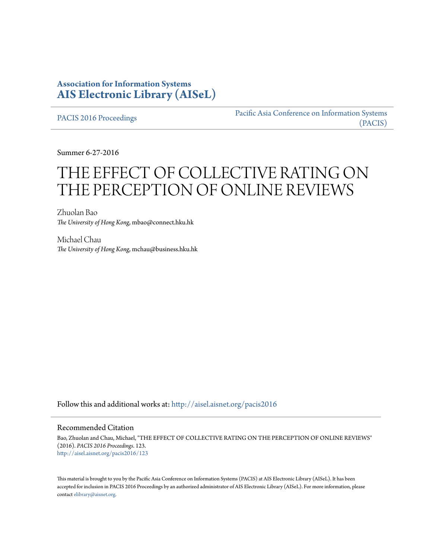# **Association for Information Systems [AIS Electronic Library \(AISeL\)](http://aisel.aisnet.org?utm_source=aisel.aisnet.org%2Fpacis2016%2F123&utm_medium=PDF&utm_campaign=PDFCoverPages)**

[PACIS 2016 Proceedings](http://aisel.aisnet.org/pacis2016?utm_source=aisel.aisnet.org%2Fpacis2016%2F123&utm_medium=PDF&utm_campaign=PDFCoverPages)

[Pacific Asia Conference on Information Systems](http://aisel.aisnet.org/pacis?utm_source=aisel.aisnet.org%2Fpacis2016%2F123&utm_medium=PDF&utm_campaign=PDFCoverPages) [\(PACIS\)](http://aisel.aisnet.org/pacis?utm_source=aisel.aisnet.org%2Fpacis2016%2F123&utm_medium=PDF&utm_campaign=PDFCoverPages)

Summer 6-27-2016

# THE EFFECT OF COLLECTIVE RATING ON THE PERCEPTION OF ONLINE REVIEWS

Zhuolan Bao *The University of Hong Kong*, mbao@connect.hku.hk

Michael Chau *The University of Hong Kong*, mchau@business.hku.hk

Follow this and additional works at: [http://aisel.aisnet.org/pacis2016](http://aisel.aisnet.org/pacis2016?utm_source=aisel.aisnet.org%2Fpacis2016%2F123&utm_medium=PDF&utm_campaign=PDFCoverPages)

#### Recommended Citation

Bao, Zhuolan and Chau, Michael, "THE EFFECT OF COLLECTIVE RATING ON THE PERCEPTION OF ONLINE REVIEWS" (2016). *PACIS 2016 Proceedings*. 123. [http://aisel.aisnet.org/pacis2016/123](http://aisel.aisnet.org/pacis2016/123?utm_source=aisel.aisnet.org%2Fpacis2016%2F123&utm_medium=PDF&utm_campaign=PDFCoverPages)

This material is brought to you by the Pacific Asia Conference on Information Systems (PACIS) at AIS Electronic Library (AISeL). It has been accepted for inclusion in PACIS 2016 Proceedings by an authorized administrator of AIS Electronic Library (AISeL). For more information, please contact [elibrary@aisnet.org.](mailto:elibrary@aisnet.org%3E)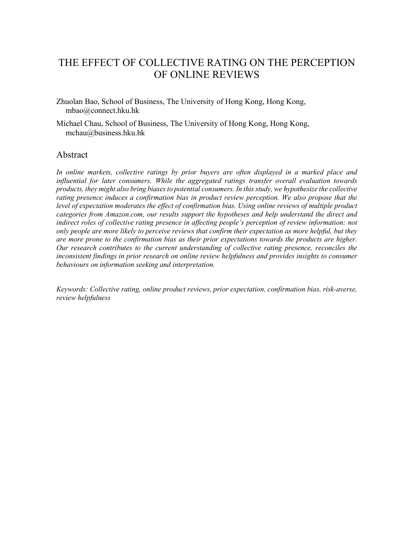# THE EFFECT OF COLLECTIVE RATING ON THE PERCEPTION OF ONLINE REVIEWS

Zhuolan Bao, School of Business, The University of Hong Kong, Hong Kong, mbao@connect.hku.hk

Michael Chau, School of Business, The University of Hong Kong, Hong Kong, mchau@business.hku.hk

#### Abstract

In online markets, collective ratings by prior buyers are often displayed in a marked place and influential for later consumers. While the aggregated ratings transfer overall evaluation towards products, they might also bring biases to potential consumers. In this study, we hypothesize the collective rating presence induces a confirmation bias in product review perception. We also propose that the level of expectation moderates the effect of confirmation bias. Using online reviews of multiple product categories from Amazon.com, our results support the hypotheses and help understand the direct and indirect roles of collective rating presence in affecting people's perception of review information: not only people are more likely to perceive reviews that confirm their expectation as more helpful, but they are more prone to the confirmation bias as their prior expectations towards the products are higher. Our research contributes to the current understanding of collective rating presence, reconciles the inconsistent findings in prior research on online review helpfulness and provides insights to consumer behaviours on information seeking and interpretation.

Keywords: Collective rating, online product reviews, prior expectation, confirmation bias, risk-averse, review helpfulness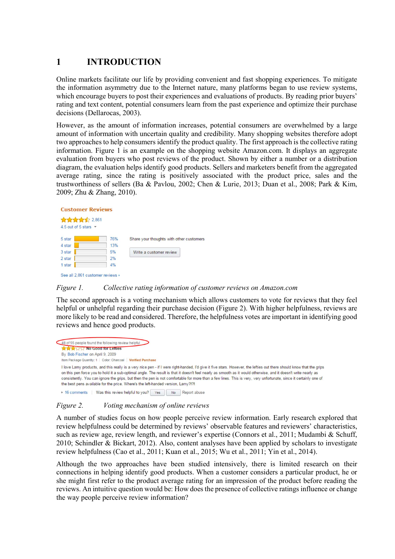# 1 INTRODUCTION

Online markets facilitate our life by providing convenient and fast shopping experiences. To mitigate the information asymmetry due to the Internet nature, many platforms began to use review systems, which encourage buyers to post their experiences and evaluations of products. By reading prior buyers' rating and text content, potential consumers learn from the past experience and optimize their purchase decisions (Dellarocas, 2003).

However, as the amount of information increases, potential consumers are overwhelmed by a large amount of information with uncertain quality and credibility. Many shopping websites therefore adopt two approaches to help consumers identify the product quality. The first approach is the collective rating information. Figure 1 is an example on the shopping website Amazon.com. It displays an aggregate evaluation from buyers who post reviews of the product. Shown by either a number or a distribution diagram, the evaluation helps identify good products. Sellers and marketers benefit from the aggregated average rating, since the rating is positively associated with the product price, sales and the trustworthiness of sellers (Ba & Pavlou, 2002; Chen & Lurie, 2013; Duan et al., 2008; Park & Kim, 2009; Zhu & Zhang, 2010).



#### Figure 1. Collective rating information of customer reviews on Amazon.com

The second approach is a voting mechanism which allows customers to vote for reviews that they feel helpful or unhelpful regarding their purchase decision (Figure 2). With higher helpfulness, reviews are more likely to be read and considered. Therefore, the helpfulness votes are important in identifying good reviews and hence good products.

48 of 55 people found the following review helpful **A STATE No Good for Letties** By Bob Fischer on April 9, 2009 Item Package Quantity: 1 | Color: Charcoal | Verified Purchase I love Lamy products, and this really is a very nice pen - if I were right-handed, I'd give it five stars. However, the lefties out there should know that the grips on this pen force you to hold it a sub-optimal angle. The result is that it doesn't feel nearly as smooth as it would otherwise, and it doesn't write nearly as consistently. You can ignore the grips, but then the pen is not comfortable for more than a few lines. This is very, very unfortunate, since it certainly one of the best pens available for the price. Where's the left-handed version. Lamy?!? • 16 comments | Was this review helpful to you? | Yes | No | Report abuse

#### Figure 2. Voting mechanism of online reviews

A number of studies focus on how people perceive review information. Early research explored that review helpfulness could be determined by reviews' observable features and reviewers' characteristics, such as review age, review length, and reviewer's expertise (Connors et al., 2011; Mudambi & Schuff, 2010; Schindler & Bickart, 2012). Also, content analyses have been applied by scholars to investigate review helpfulness (Cao et al., 2011; Kuan et al., 2015; Wu et al., 2011; Yin et al., 2014).

Although the two approaches have been studied intensively, there is limited research on their connections in helping identify good products. When a customer considers a particular product, he or she might first refer to the product average rating for an impression of the product before reading the reviews. An intuitive question would be: How does the presence of collective ratings influence or change the way people perceive review information?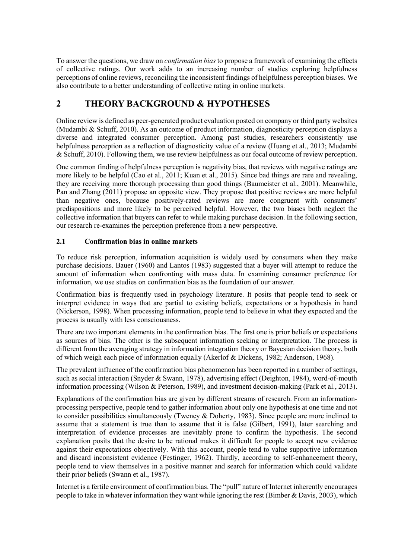To answer the questions, we draw on confirmation bias to propose a framework of examining the effects of collective ratings. Our work adds to an increasing number of studies exploring helpfulness perceptions of online reviews, reconciling the inconsistent findings of helpfulness perception biases. We also contribute to a better understanding of collective rating in online markets.

# 2 THEORY BACKGROUND & HYPOTHESES

Online review is defined as peer-generated product evaluation posted on company or third party websites (Mudambi & Schuff, 2010). As an outcome of product information, diagnosticity perception displays a diverse and integrated consumer perception. Among past studies, researchers consistently use helpfulness perception as a reflection of diagnosticity value of a review (Huang et al., 2013; Mudambi & Schuff, 2010). Following them, we use review helpfulness as our focal outcome of review perception.

One common finding of helpfulness perception is negativity bias, that reviews with negative ratings are more likely to be helpful (Cao et al., 2011; Kuan et al., 2015). Since bad things are rare and revealing, they are receiving more thorough processing than good things (Baumeister et al., 2001). Meanwhile, Pan and Zhang (2011) propose an opposite view. They propose that positive reviews are more helpful than negative ones, because positively-rated reviews are more congruent with consumers' predispositions and more likely to be perceived helpful. However, the two biases both neglect the collective information that buyers can refer to while making purchase decision. In the following section, our research re-examines the perception preference from a new perspective.

#### 2.1 Confirmation bias in online markets

To reduce risk perception, information acquisition is widely used by consumers when they make purchase decisions. Bauer (1960) and Lantos (1983) suggested that a buyer will attempt to reduce the amount of information when confronting with mass data. In examining consumer preference for information, we use studies on confirmation bias as the foundation of our answer.

Confirmation bias is frequently used in psychology literature. It posits that people tend to seek or interpret evidence in ways that are partial to existing beliefs, expectations or a hypothesis in hand (Nickerson, 1998). When processing information, people tend to believe in what they expected and the process is usually with less consciousness.

There are two important elements in the confirmation bias. The first one is prior beliefs or expectations as sources of bias. The other is the subsequent information seeking or interpretation. The process is different from the averaging strategy in information integration theory or Bayesian decision theory, both of which weigh each piece of information equally (Akerlof & Dickens, 1982; Anderson, 1968).

The prevalent influence of the confirmation bias phenomenon has been reported in a number of settings, such as social interaction (Snyder & Swann, 1978), advertising effect (Deighton, 1984), word-of-mouth information processing (Wilson & Peterson, 1989), and investment decision-making (Park et al., 2013).

Explanations of the confirmation bias are given by different streams of research. From an informationprocessing perspective, people tend to gather information about only one hypothesis at one time and not to consider possibilities simultaneously (Tweney & Doherty, 1983). Since people are more inclined to assume that a statement is true than to assume that it is false (Gilbert, 1991), later searching and interpretation of evidence processes are inevitably prone to confirm the hypothesis. The second explanation posits that the desire to be rational makes it difficult for people to accept new evidence against their expectations objectively. With this account, people tend to value supportive information and discard inconsistent evidence (Festinger, 1962). Thirdly, according to self-enhancement theory, people tend to view themselves in a positive manner and search for information which could validate their prior beliefs (Swann et al., 1987).

Internet is a fertile environment of confirmation bias. The "pull" nature of Internet inherently encourages people to take in whatever information they want while ignoring the rest (Bimber & Davis, 2003), which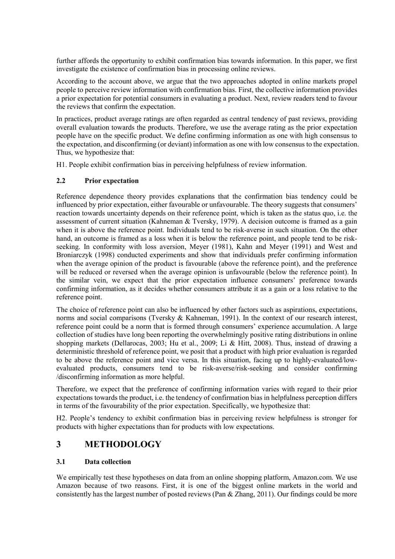further affords the opportunity to exhibit confirmation bias towards information. In this paper, we first investigate the existence of confirmation bias in processing online reviews.

According to the account above, we argue that the two approaches adopted in online markets propel people to perceive review information with confirmation bias. First, the collective information provides a prior expectation for potential consumers in evaluating a product. Next, review readers tend to favour the reviews that confirm the expectation.

In practices, product average ratings are often regarded as central tendency of past reviews, providing overall evaluation towards the products. Therefore, we use the average rating as the prior expectation people have on the specific product. We define confirming information as one with high consensus to the expectation, and disconfirming (or deviant) information as one with low consensus to the expectation. Thus, we hypothesize that:

H1. People exhibit confirmation bias in perceiving helpfulness of review information.

#### 2.2 Prior expectation

Reference dependence theory provides explanations that the confirmation bias tendency could be influenced by prior expectation, either favourable or unfavourable. The theory suggests that consumers' reaction towards uncertainty depends on their reference point, which is taken as the status quo, i.e. the assessment of current situation (Kahneman & Tversky, 1979). A decision outcome is framed as a gain when it is above the reference point. Individuals tend to be risk-averse in such situation. On the other hand, an outcome is framed as a loss when it is below the reference point, and people tend to be riskseeking. In conformity with loss aversion, Meyer (1981), Kahn and Meyer (1991) and West and Broniarczyk (1998) conducted experiments and show that individuals prefer confirming information when the average opinion of the product is favourable (above the reference point), and the preference will be reduced or reversed when the average opinion is unfavourable (below the reference point). In the similar vein, we expect that the prior expectation influence consumers' preference towards confirming information, as it decides whether consumers attribute it as a gain or a loss relative to the reference point.

The choice of reference point can also be influenced by other factors such as aspirations, expectations, norms and social comparisons (Tversky & Kahneman, 1991). In the context of our research interest, reference point could be a norm that is formed through consumers' experience accumulation. A large collection of studies have long been reporting the overwhelmingly positive rating distributions in online shopping markets (Dellarocas, 2003; Hu et al., 2009; Li & Hitt, 2008). Thus, instead of drawing a deterministic threshold of reference point, we posit that a product with high prior evaluation is regarded to be above the reference point and vice versa. In this situation, facing up to highly-evaluated/lowevaluated products, consumers tend to be risk-averse/risk-seeking and consider confirming /disconfirming information as more helpful.

Therefore, we expect that the preference of confirming information varies with regard to their prior expectations towards the product, i.e. the tendency of confirmation bias in helpfulness perception differs in terms of the favourability of the prior expectation. Specifically, we hypothesize that:

H2. People's tendency to exhibit confirmation bias in perceiving review helpfulness is stronger for products with higher expectations than for products with low expectations.

# 3 METHODOLOGY

#### 3.1 Data collection

We empirically test these hypotheses on data from an online shopping platform, Amazon.com. We use Amazon because of two reasons. First, it is one of the biggest online markets in the world and consistently has the largest number of posted reviews (Pan & Zhang, 2011). Our findings could be more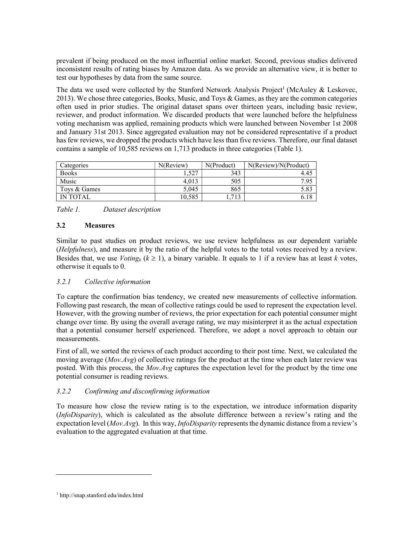prevalent if being produced on the most influential online market. Second, previous studies delivered inconsistent results of rating biases by Amazon data. As we provide an alternative view, it is better to test our hypotheses by data from the same source.

The data we used were collected by the Stanford Network Analysis Project<sup>1</sup> (McAuley & Leskovec, 2013). We chose three categories, Books, Music, and Toys & Games, as they are the common categories often used in prior studies. The original dataset spans over thirteen years, including basic review, reviewer, and product information. We discarded products that were launched before the helpfulness voting mechanism was applied, remaining products which were launched between November 1st 2008 and January 31st 2013. Since aggregated evaluation may not be considered representative if a product has few reviews, we dropped the products which have less than five reviews. Therefore, our final dataset contains a sample of 10,585 reviews on 1,713 products in three categories (Table 1).

| Categories   | N(Review) | N(Product) | N(Review)/N(Product) |  |  |
|--------------|-----------|------------|----------------------|--|--|
| <b>Books</b> | . . 527   | 343        | 4.45                 |  |  |
| Music        | 4.013     | 505        | 7.95                 |  |  |
| Tovs & Games | 5.045     | 865        | 5.83                 |  |  |
| IN TOTAL     | 10.585    | 1.713      |                      |  |  |

Table 1. Dataset description

#### 3.2 Measures

Similar to past studies on product reviews, we use review helpfulness as our dependent variable (Helpfulness), and measure it by the ratio of the helpful votes to the total votes received by a review. Besides that, we use *Voting<sub>k</sub>* ( $k \ge 1$ ), a binary variable. It equals to 1 if a review has at least k votes, otherwise it equals to 0.

#### 3.2.1 Collective information

To capture the confirmation bias tendency, we created new measurements of collective information. Following past research, the mean of collective ratings could be used to represent the expectation level. However, with the growing number of reviews, the prior expectation for each potential consumer might change over time. By using the overall average rating, we may misinterpret it as the actual expectation that a potential consumer herself experienced. Therefore, we adopt a novel approach to obtain our measurements.

First of all, we sorted the reviews of each product according to their post time. Next, we calculated the moving average ( $Mov.Avg$ ) of collective ratings for the product at the time when each later review was posted. With this process, the  $Mov.Avg$  captures the expectation level for the product by the time one potential consumer is reading reviews.

#### 3.2.2 Confirming and disconfirming information

To measure how close the review rating is to the expectation, we introduce information disparity (InfoDisparity), which is calculated as the absolute difference between a review's rating and the expectation level (Mov.Avg). In this way, *InfoDisparity* represents the dynamic distance from a review's evaluation to the aggregated evaluation at that time.

 $\overline{a}$ 

<sup>1</sup> http://snap.stanford.edu/index.html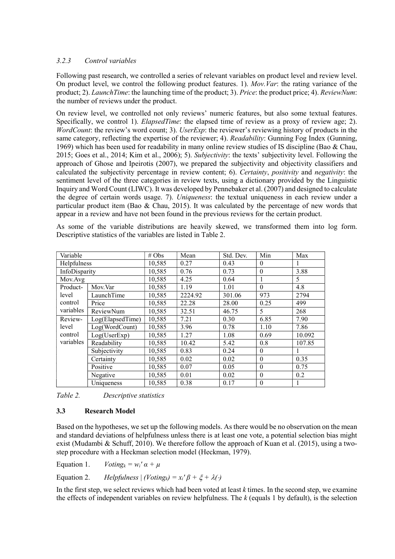#### 3.2.3 Control variables

Following past research, we controlled a series of relevant variables on product level and review level. On product level, we control the following product features. 1). Mov.Var: the rating variance of the product; 2). LaunchTime: the launching time of the product; 3). Price: the product price; 4). ReviewNum: the number of reviews under the product.

On review level, we controlled not only reviews' numeric features, but also some textual features. Specifically, we control 1). *ElapsedTime*: the elapsed time of review as a proxy of review age; 2). WordCount: the review's word count; 3). UserExp: the reviewer's reviewing history of products in the same category, reflecting the expertise of the reviewer; 4). Readability: Gunning Fog Index (Gunning, 1969) which has been used for readability in many online review studies of IS discipline (Bao & Chau, 2015; Goes et al., 2014; Kim et al., 2006); 5). Subjectivity: the texts' subjectivity level. Following the approach of Ghose and Ipeirotis (2007), we prepared the subjectivity and objectivity classifiers and calculated the subjectivity percentage in review content; 6). Certainty, positivity and negativity: the sentiment level of the three categories in review texts, using a dictionary provided by the Linguistic Inquiry and Word Count (LIWC). It was developed by Pennebaker et al. (2007) and designed to calculate the degree of certain words usage. 7). Uniqueness: the textual uniqueness in each review under a particular product item (Bao & Chau, 2015). It was calculated by the percentage of new words that appear in a review and have not been found in the previous reviews for the certain product.

As some of the variable distributions are heavily skewed, we transformed them into log form. Descriptive statistics of the variables are listed in Table 2.

| Variable                    |                  | # $Obs$ | Mean    | Std. Dev. | Min      | Max    |
|-----------------------------|------------------|---------|---------|-----------|----------|--------|
| Helpfulness                 |                  | 10,585  | 0.27    | 0.43      | $\theta$ |        |
| InfoDisparity               |                  | 10,585  | 0.76    | 0.73      | $\theta$ | 3.88   |
| Mov.Avg                     |                  | 10,585  | 4.25    | 0.64      | 1        | 5      |
| Product-                    | Mov.Var          |         | 1.19    | 1.01      |          | 4.8    |
| level                       | LaunchTime       | 10,585  | 2224.92 | 301.06    | 973      | 2794   |
| control                     | Price            | 10,585  | 22.28   | 28.00     | 0.25     | 499    |
| variables                   | ReviewNum        | 10,585  | 32.51   | 46.75     | 5        | 268    |
| Review-<br>level<br>control | Log(ElapsedTime) | 10,585  | 7.21    | 0.30      | 6.85     | 7.90   |
|                             | Log(WordCount)   | 10,585  | 3.96    | 0.78      | 1.10     | 7.86   |
|                             | Log(UserExp)     | 10,585  | 1.27    | 1.08      | 0.69     | 10.092 |
| variables                   | Readability      | 10,585  | 10.42   | 5.42      | 0.8      | 107.85 |
|                             | Subjectivity     | 10,585  | 0.83    | 0.24      | $\theta$ |        |
|                             | Certainty        | 10,585  | 0.02    | 0.02      | $\theta$ | 0.35   |
|                             | Positive         | 10,585  | 0.07    | 0.05      | $\theta$ | 0.75   |
|                             | Negative         | 10,585  | 0.01    | 0.02      | $\theta$ | 0.2    |
|                             | Uniqueness       | 10,585  | 0.38    | 0.17      | $\theta$ |        |

Table 2. Descriptive statistics

#### 3.3 Research Model

Based on the hypotheses, we set up the following models. As there would be no observation on the mean and standard deviations of helpfulness unless there is at least one vote, a potential selection bias might exist (Mudambi & Schuff, 2010). We therefore follow the approach of Kuan et al. (2015), using a twostep procedure with a Heckman selection model (Heckman, 1979).

Equation 1.  $Voting_k = w_i' \alpha + \mu$ 

Equation 2. Helpfulness  $| (Voting_k) = x_i' \beta + \xi + \lambda(.)$ 

In the first step, we select reviews which had been voted at least  $k$  times. In the second step, we examine the effects of independent variables on review helpfulness. The  $k$  (equals 1 by default), is the selection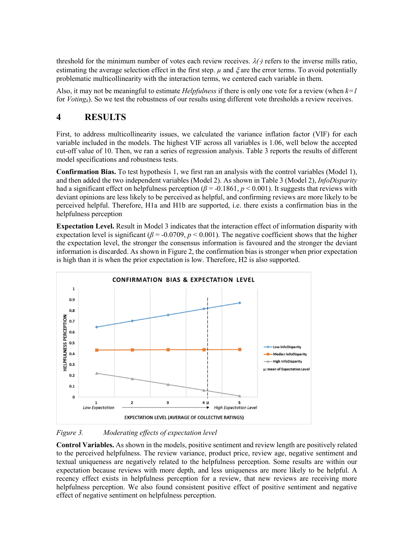threshold for the minimum number of votes each review receives.  $\lambda(\cdot)$  refers to the inverse mills ratio, estimating the average selection effect in the first step.  $\mu$  and  $\xi$  are the error terms. To avoid potentially problematic multicollinearity with the interaction terms, we centered each variable in them.

Also, it may not be meaningful to estimate *Helpfulness* if there is only one vote for a review (when  $k=1$ for  $Voting_k$ ). So we test the robustness of our results using different vote thresholds a review receives.

# 4 RESULTS

First, to address multicollinearity issues, we calculated the variance inflation factor (VIF) for each variable included in the models. The highest VIF across all variables is 1.06, well below the accepted cut-off value of 10. Then, we ran a series of regression analysis. Table 3 reports the results of different model specifications and robustness tests.

Confirmation Bias. To test hypothesis 1, we first ran an analysis with the control variables (Model 1), and then added the two independent variables (Model 2). As shown in Table 3 (Model 2), InfoDisparity had a significant effect on helpfulness perception ( $\beta$  = -0.1861, p < 0.001). It suggests that reviews with deviant opinions are less likely to be perceived as helpful, and confirming reviews are more likely to be perceived helpful. Therefore, H1a and H1b are supported, i.e. there exists a confirmation bias in the helpfulness perception

Expectation Level. Result in Model 3 indicates that the interaction effect of information disparity with expectation level is significant ( $\beta$  = -0.0709, p < 0.001). The negative coefficient shows that the higher the expectation level, the stronger the consensus information is favoured and the stronger the deviant information is discarded. As shown in Figure 2, the confirmation bias is stronger when prior expectation is high than it is when the prior expectation is low. Therefore, H2 is also supported.



Figure 3. Moderating effects of expectation level

Control Variables. As shown in the models, positive sentiment and review length are positively related to the perceived helpfulness. The review variance, product price, review age, negative sentiment and textual uniqueness are negatively related to the helpfulness perception. Some results are within our expectation because reviews with more depth, and less uniqueness are more likely to be helpful. A recency effect exists in helpfulness perception for a review, that new reviews are receiving more helpfulness perception. We also found consistent positive effect of positive sentiment and negative effect of negative sentiment on helpfulness perception.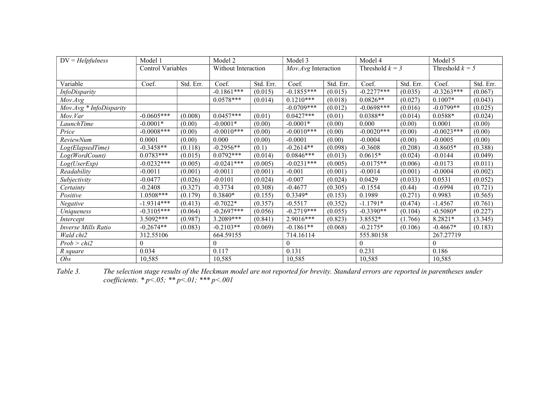| $DV = Helpfulness$      | Model 1                  |           | Model 2             |           | Model 3             |           | Model 4           |           | Model 5           |           |
|-------------------------|--------------------------|-----------|---------------------|-----------|---------------------|-----------|-------------------|-----------|-------------------|-----------|
|                         | <b>Control Variables</b> |           | Without Interaction |           | Mov.Avg Interaction |           | Threshold $k = 3$ |           | Threshold $k = 5$ |           |
|                         |                          |           |                     |           |                     |           |                   |           |                   |           |
| Variable                | Coef.                    | Std. Err. | Coef.               | Std. Err. | Coef.               | Std. Err. | Coef.             | Std. Err. | Coef.             | Std. Err. |
| InfoDisparity           |                          |           | $-0.1861***$        | (0.015)   | $-0.1855***$        | (0.015)   | $-0.2277***$      | (0.035)   | $-0.3263***$      | (0.067)   |
| Mov. Avg                |                          |           | $0.0578***$         | (0.014)   | $0.1210***$         | (0.018)   | $0.0826**$        | (0.027)   | $0.1007*$         | (0.043)   |
| Mov.Avg * InfoDisparity |                          |           |                     |           | $-0.0709***$        | (0.012)   | $-0.0698***$      | (0.016)   | $-0.0799**$       | (0.025)   |
| Mov.Var                 | $-0.0605***$             | (0.008)   | $0.0457***$         | (0.01)    | $0.0427***$         | (0.01)    | $0.0388**$        | (0.014)   | $0.0588*$         | (0.024)   |
| LaunchTime              | $-0.0001*$               | (0.00)    | $-0.0001*$          | (0.00)    | $-0.0001*$          | (0.00)    | 0.000             | (0.00)    | 0.0001            | (0.00)    |
| Price                   | $-0.0008***$             | (0.00)    | $-0.0010***$        | (0.00)    | $-0.0010***$        | (0.00)    | $-0.0020***$      | (0.00)    | $-0.0023***$      | (0.00)    |
| <b>ReviewNum</b>        | 0.0001                   | (0.00)    | 0.000               | (0.00)    | $-0.0001$           | (0.00)    | $-0.0004$         | (0.00)    | $-0.0005$         | (0.00)    |
| Log(ElapsedTime)        | $-0.3458**$              | (0.118)   | $-0.2956**$         | (0.1)     | $-0.2614**$         | (0.098)   | $-0.3608$         | (0.208)   | $-0.8605*$        | (0.388)   |
| Log(WordCount)          | $0.0783***$              | (0.015)   | $0.0792***$         | (0.014)   | $0.0846***$         | (0.013)   | $0.0615*$         | (0.024)   | $-0.0144$         | (0.049)   |
| Log(UserExp)            | $-0.0232***$             | (0.005)   | $-0.0241***$        | (0.005)   | $-0.0231***$        | (0.005)   | $-0.0175**$       | (0.006)   | $-0.0173$         | (0.011)   |
| Readability             | $-0.0011$                | (0.001)   | $-0.0011$           | (0.001)   | $-0.001$            | (0.001)   | $-0.0014$         | (0.001)   | $-0.0004$         | (0.002)   |
| Subjectivity            | $-0.0477$                | (0.026)   | $-0.0101$           | (0.024)   | $-0.007$            | (0.024)   | 0.0429            | (0.033)   | 0.0531            | (0.052)   |
| Certainty               | $-0.2408$                | (0.327)   | $-0.3734$           | (0.308)   | $-0.4677$           | (0.305)   | $-0.1554$         | (0.44)    | $-0.6994$         | (0.721)   |
| Positive                | $1.0508***$              | (0.179)   | $0.3840*$           | (0.155)   | 0.3349*             | (0.153)   | 0.1989            | (0.271)   | 0.9983            | (0.565)   |
| Negative                | $-1.9314***$             | (0.413)   | $-0.7022*$          | (0.357)   | $-0.5517$           | (0.352)   | $-1.1791*$        | (0.474)   | $-1.4567$         | (0.761)   |
| Uniqueness              | $-0.3105***$             | (0.064)   | $-0.2697***$        | (0.056)   | $-0.2719***$        | (0.055)   | $-0.3390**$       | (0.104)   | $-0.5080*$        | (0.227)   |
| Intercept               | $3.5092***$              | (0.987)   | 3.2089***           | (0.841)   | 2.9016***           | (0.823)   | 3.8552*           | (1.766)   | 8.2821*           | (3.345)   |
| Inverse Mills Ratio     | $-0.2674**$              | (0.083)   | $-0.2103**$         | (0.069)   | $-0.1861**$         | (0.068)   | $-0.2175*$        | (0.106)   | $-0.4667*$        | (0.183)   |
| Wald chi2               | 312.55106                |           | 664.59155           |           | 714.16114           |           | 555.80158         |           | 267.27719         |           |
| Prob > chi2             | $\Omega$                 |           | $\theta$            |           |                     |           | $\theta$          |           | $\theta$          |           |
| R square                | 0.034                    |           | 0.117               |           | 0.131               |           | 0.231             |           | 0.186             |           |
| Obs                     | 10,585                   |           | 10,585              |           | 10,585              |           | 10,585            |           | 10,585            |           |

Table 3. The selection stage results of the Heckman model are not reported for brevity. Standard errors are reported in parentheses under coefficients.  $* p < .05; ** p < .01; ** p < .001$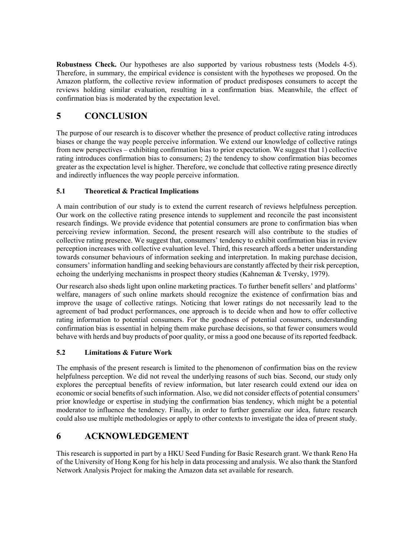Robustness Check. Our hypotheses are also supported by various robustness tests (Models 4-5). Therefore, in summary, the empirical evidence is consistent with the hypotheses we proposed. On the Amazon platform, the collective review information of product predisposes consumers to accept the reviews holding similar evaluation, resulting in a confirmation bias. Meanwhile, the effect of confirmation bias is moderated by the expectation level.

# 5 CONCLUSION

The purpose of our research is to discover whether the presence of product collective rating introduces biases or change the way people perceive information. We extend our knowledge of collective ratings from new perspectives – exhibiting confirmation bias to prior expectation. We suggest that 1) collective rating introduces confirmation bias to consumers; 2) the tendency to show confirmation bias becomes greater as the expectation level is higher. Therefore, we conclude that collective rating presence directly and indirectly influences the way people perceive information.

#### 5.1 Theoretical & Practical Implications

A main contribution of our study is to extend the current research of reviews helpfulness perception. Our work on the collective rating presence intends to supplement and reconcile the past inconsistent research findings. We provide evidence that potential consumers are prone to confirmation bias when perceiving review information. Second, the present research will also contribute to the studies of collective rating presence. We suggest that, consumers' tendency to exhibit confirmation bias in review perception increases with collective evaluation level. Third, this research affords a better understanding towards consumer behaviours of information seeking and interpretation. In making purchase decision, consumers' information handling and seeking behaviours are constantly affected by their risk perception, echoing the underlying mechanisms in prospect theory studies (Kahneman & Tversky, 1979).

Our research also sheds light upon online marketing practices. To further benefit sellers' and platforms' welfare, managers of such online markets should recognize the existence of confirmation bias and improve the usage of collective ratings. Noticing that lower ratings do not necessarily lead to the agreement of bad product performances, one approach is to decide when and how to offer collective rating information to potential consumers. For the goodness of potential consumers, understanding confirmation bias is essential in helping them make purchase decisions, so that fewer consumers would behave with herds and buy products of poor quality, or miss a good one because of its reported feedback.

#### 5.2 Limitations & Future Work

The emphasis of the present research is limited to the phenomenon of confirmation bias on the review helpfulness perception. We did not reveal the underlying reasons of such bias. Second, our study only explores the perceptual benefits of review information, but later research could extend our idea on economic or social benefits of such information. Also, we did not consider effects of potential consumers' prior knowledge or expertise in studying the confirmation bias tendency, which might be a potential moderator to influence the tendency. Finally, in order to further generalize our idea, future research could also use multiple methodologies or apply to other contexts to investigate the idea of present study.

# 6 ACKNOWLEDGEMENT

This research is supported in part by a HKU Seed Funding for Basic Research grant. We thank Reno Ha of the University of Hong Kong for his help in data processing and analysis. We also thank the Stanford Network Analysis Project for making the Amazon data set available for research.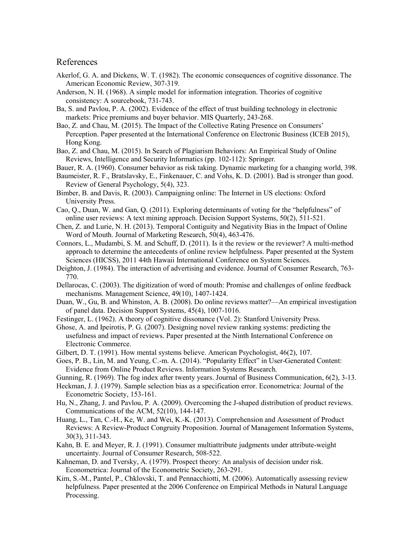#### References

- Akerlof, G. A. and Dickens, W. T. (1982). The economic consequences of cognitive dissonance. The American Economic Review, 307-319.
- Anderson, N. H. (1968). A simple model for information integration. Theories of cognitive consistency: A sourcebook, 731-743.
- Ba, S. and Pavlou, P. A. (2002). Evidence of the effect of trust building technology in electronic markets: Price premiums and buyer behavior. MIS Quarterly, 243-268.
- Bao, Z. and Chau, M. (2015). The Impact of the Collective Rating Presence on Consumers' Perception. Paper presented at the International Conference on Electronic Business (ICEB 2015), Hong Kong.
- Bao, Z. and Chau, M. (2015). In Search of Plagiarism Behaviors: An Empirical Study of Online Reviews, Intelligence and Security Informatics (pp. 102-112): Springer.
- Bauer, R. A. (1960). Consumer behavior as risk taking. Dynamic marketing for a changing world, 398.
- Baumeister, R. F., Bratslavsky, E., Finkenauer, C. and Vohs, K. D. (2001). Bad is stronger than good. Review of General Psychology, 5(4), 323.
- Bimber, B. and Davis, R. (2003). Campaigning online: The Internet in US elections: Oxford University Press.
- Cao, Q., Duan, W. and Gan, Q. (2011). Exploring determinants of voting for the "helpfulness" of online user reviews: A text mining approach. Decision Support Systems, 50(2), 511-521.
- Chen, Z. and Lurie, N. H. (2013). Temporal Contiguity and Negativity Bias in the Impact of Online Word of Mouth. Journal of Marketing Research, 50(4), 463-476.
- Connors, L., Mudambi, S. M. and Schuff, D. (2011). Is it the review or the reviewer? A multi-method approach to determine the antecedents of online review helpfulness. Paper presented at the System Sciences (HICSS), 2011 44th Hawaii International Conference on System Sciences.
- Deighton, J. (1984). The interaction of advertising and evidence. Journal of Consumer Research, 763- 770.
- Dellarocas, C. (2003). The digitization of word of mouth: Promise and challenges of online feedback mechanisms. Management Science, 49(10), 1407-1424.
- Duan, W., Gu, B. and Whinston, A. B. (2008). Do online reviews matter?—An empirical investigation of panel data. Decision Support Systems, 45(4), 1007-1016.
- Festinger, L. (1962). A theory of cognitive dissonance (Vol. 2): Stanford University Press.
- Ghose, A. and Ipeirotis, P. G. (2007). Designing novel review ranking systems: predicting the usefulness and impact of reviews. Paper presented at the Ninth International Conference on Electronic Commerce.
- Gilbert, D. T. (1991). How mental systems believe. American Psychologist, 46(2), 107.
- Goes, P. B., Lin, M. and Yeung, C.-m. A. (2014). "Popularity Effect" in User-Generated Content: Evidence from Online Product Reviews. Information Systems Research.
- Gunning, R. (1969). The fog index after twenty years. Journal of Business Communication, 6(2), 3-13.
- Heckman, J. J. (1979). Sample selection bias as a specification error. Econometrica: Journal of the Econometric Society, 153-161.
- Hu, N., Zhang, J. and Pavlou, P. A. (2009). Overcoming the J-shaped distribution of product reviews. Communications of the ACM, 52(10), 144-147.
- Huang, L., Tan, C.-H., Ke, W. and Wei, K.-K. (2013). Comprehension and Assessment of Product Reviews: A Review-Product Congruity Proposition. Journal of Management Information Systems, 30(3), 311-343.
- Kahn, B. E. and Meyer, R. J. (1991). Consumer multiattribute judgments under attribute-weight uncertainty. Journal of Consumer Research, 508-522.
- Kahneman, D. and Tversky, A. (1979). Prospect theory: An analysis of decision under risk. Econometrica: Journal of the Econometric Society, 263-291.
- Kim, S.-M., Pantel, P., Chklovski, T. and Pennacchiotti, M. (2006). Automatically assessing review helpfulness. Paper presented at the 2006 Conference on Empirical Methods in Natural Language Processing.